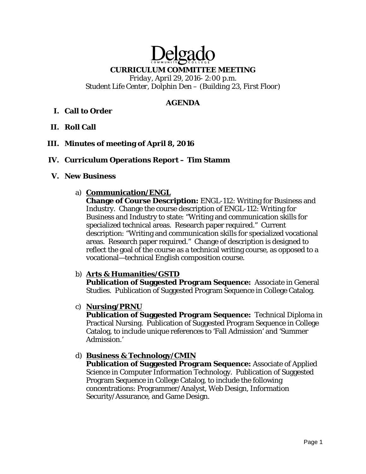# Delgade

#### **CURRICULUM COMMITTEE MEETING**

*Friday, April 29, 2016- 2:00 p.m. Student Life Center, Dolphin Den – (Building 23, First Floor)* 

## **AGENDA**

## **I. Call to Order**

**II. Roll Call** 

## **III. Minutes of meeting of April 8, 2016**

#### **IV. Curriculum Operations Report – Tim Stamm**

#### **V. New Business**

#### a) **Communication/ENGL**

**Change of Course Description:** ENGL-112: Writing for Business and Industry. Change the course description of ENGL-112: Writing for Business and Industry to state: "Writing and communication skills for specialized technical areas. Research paper required." Current description: "Writing and communication skills for specialized vocational areas. Research paper required." Change of description is designed to reflect the goal of the course as a technical writing course, as opposed to a vocational—technical English composition course.

## b) **Arts & Humanities/GSTD**

**Publication of Suggested Program Sequence:** Associate in General Studies. Publication of Suggested Program Sequence in College Catalog.

c) **Nursing/PRNU** 

**Publication of Suggested Program Sequence:** Technical Diploma in Practical Nursing. Publication of Suggested Program Sequence in College Catalog, to include unique references to 'Fall Admission' and 'Summer Admission.'

## d) **Business & Technology/CMIN**

**Publication of Suggested Program Sequence:** Associate of Applied Science in Computer Information Technology. Publication of Suggested Program Sequence in College Catalog, to include the following concentrations: Programmer/Analyst, Web Design, Information Security/Assurance, and Game Design.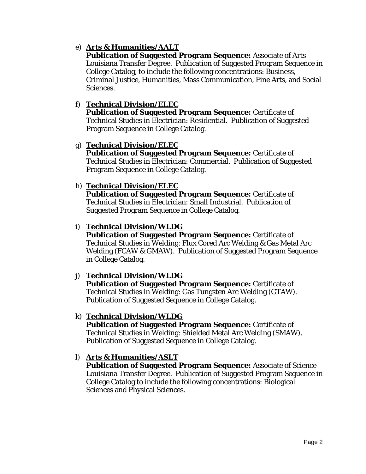# e) **Arts & Humanities/AALT**

**Publication of Suggested Program Sequence:** Associate of Arts Louisiana Transfer Degree. Publication of Suggested Program Sequence in College Catalog, to include the following concentrations: Business, Criminal Justice, Humanities, Mass Communication, Fine Arts, and Social Sciences.

# f) **Technical Division/ELEC**

**Publication of Suggested Program Sequence:** Certificate of Technical Studies in Electrician: Residential. Publication of Suggested Program Sequence in College Catalog.

# g) **Technical Division/ELEC**

**Publication of Suggested Program Sequence:** Certificate of Technical Studies in Electrician: Commercial. Publication of Suggested Program Sequence in College Catalog.

# h) **Technical Division/ELEC**

**Publication of Suggested Program Sequence:** Certificate of Technical Studies in Electrician: Small Industrial. Publication of Suggested Program Sequence in College Catalog.

# i) **Technical Division/WLDG**

**Publication of Suggested Program Sequence:** Certificate of Technical Studies in Welding: Flux Cored Arc Welding & Gas Metal Arc Welding (FCAW & GMAW). Publication of Suggested Program Sequence in College Catalog.

# j) **Technical Division/WLDG**

**Publication of Suggested Program Sequence:** Certificate of Technical Studies in Welding: Gas Tungsten Arc Welding (GTAW). Publication of Suggested Sequence in College Catalog.

## k) **Technical Division/WLDG**

**Publication of Suggested Program Sequence:** Certificate of Technical Studies in Welding: Shielded Metal Arc Welding (SMAW). Publication of Suggested Sequence in College Catalog.

# l) **Arts & Humanities/ASLT**

**Publication of Suggested Program Sequence:** Associate of Science Louisiana Transfer Degree. Publication of Suggested Program Sequence in College Catalog to include the following concentrations: Biological Sciences and Physical Sciences.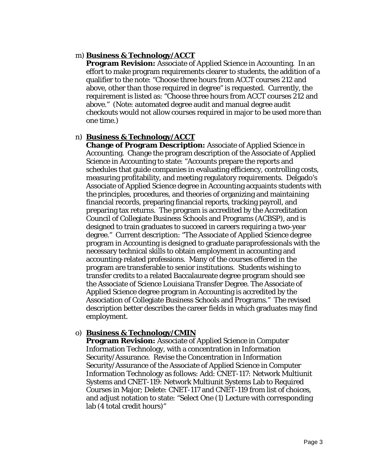## m) **Business & Technology/ACCT**

**Program Revision:** Associate of Applied Science in Accounting. In an effort to make program requirements clearer to students, the addition of a qualifier to the note: "Choose three hours from ACCT courses 212 and above, other than those required in degree" is requested. Currently, the requirement is listed as: "Choose three hours from ACCT courses 212 and above." (Note: automated degree audit and manual degree audit checkouts would not allow courses required in major to be used more than one time.)

## n) **Business & Technology/ACCT**

**Change of Program Description:** Associate of Applied Science in Accounting. Change the program description of the Associate of Applied Science in Accounting to state: "Accounts prepare the reports and schedules that guide companies in evaluating efficiency, controlling costs, measuring profitability, and meeting regulatory requirements. Delgado's Associate of Applied Science degree in Accounting acquaints students with the principles, procedures, and theories of organizing and maintaining financial records, preparing financial reports, tracking payroll, and preparing tax returns. The program is accredited by the Accreditation Council of Collegiate Business Schools and Programs (ACBSP), and is designed to train graduates to succeed in careers requiring a two-year degree." Current description: "The Associate of Applied Science degree program in Accounting is designed to graduate paraprofessionals with the necessary technical skills to obtain employment in accounting and accounting-related professions. Many of the courses offered in the program are transferable to senior institutions. Students wishing to transfer credits to a related Baccalaureate degree program should see the Associate of Science Louisiana Transfer Degree. The Associate of Applied Science degree program in Accounting is accredited by the Association of Collegiate Business Schools and Programs." The revised description better describes the career fields in which graduates may find employment.

## o) **Business & Technology/CMIN**

**Program Revision:** Associate of Applied Science in Computer Information Technology, with a concentration in Information Security/Assurance. Revise the Concentration in Information Security/Assurance of the Associate of Applied Science in Computer Information Technology as follows: Add: CNET-117: Network Multiunit Systems and CNET-119: Network Multiunit Systems Lab to Required Courses in Major; Delete: CNET-117 and CNET-119 from list of choices, and adjust notation to state: "Select One (1) Lecture with corresponding lab (4 total credit hours)"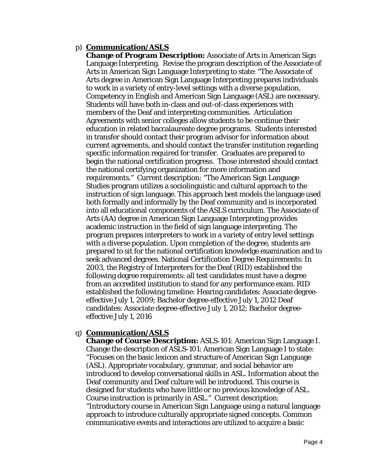## p) **Communication/ASLS**

**Change of Program Description:** Associate of Arts in American Sign Language Interpreting. Revise the program description of the Associate of Arts in American Sign Language Interpreting to state: "The Associate of Arts degree in American Sign Language Interpreting prepares individuals to work in a variety of entry-level settings with a diverse population. Competency in English and American Sign Language (ASL) are necessary. Students will have both in-class and out-of-class experiences with members of the Deaf and interpreting communities. Articulation Agreements with senior colleges allow students to be continue their education in related baccalaureate degree programs. Students interested in transfer should contact their program advisor for information about current agreements, and should contact the transfer institution regarding specific information required for transfer. Graduates are prepared to begin the national certification progress. Those interested should contact the national certifying organization for more information and requirements." Current description: "The American Sign Language Studies program utilizes a sociolinguistic and cultural approach to the instruction of sign language. This approach best models the language used both formally and informally by the Deaf community and is incorporated into all educational components of the ASLS curriculum. The Associate of Arts (AA) degree in American Sign Language Interpreting provides academic instruction in the field of sign language interpreting. The program prepares interpreters to work in a variety of entry level settings with a diverse population. Upon completion of the degree, students are prepared to sit for the national certification knowledge examination and to seek advanced degrees. National Certification Degree Requirements: In 2003, the Registry of Interpreters for the Deaf (RID) established the following degree requirements: all test candidates must have a degree from an accredited institution to stand for any performance exam. RID established the following timeline: Hearing candidates: Associate degreeeffective July 1, 2009; Bachelor degree-effective July 1, 2012 Deaf candidates: Associate degree-effective July 1, 2012; Bachelor degreeeffective July 1, 2016

## q) **Communication/ASLS**

**Change of Course Description:** ASLS-101: American Sign Language I. Change the description of ASLS-101: American Sign Language I to state: "Focuses on the basic lexicon and structure of American Sign Language (ASL). Appropriate vocabulary, grammar, and social behavior are introduced to develop conversational skills in ASL. Information about the Deaf community and Deaf culture will be introduced. This course is designed for students who have little or no previous knowledge of ASL. Course instruction is primarily in ASL." Current description: "Introductory course in American Sign Language using a natural language approach to introduce culturally appropriate signed concepts. Common communicative events and interactions are utilized to acquire a basic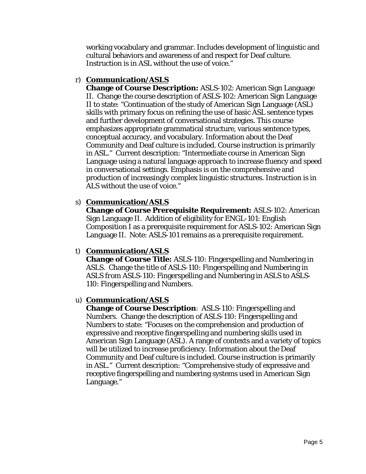working vocabulary and grammar. Includes development of linguistic and cultural behaviors and awareness of and respect for Deaf culture. Instruction is in ASL without the use of voice."

## r) **Communication/ASLS**

**Change of Course Description:** ASLS-102: American Sign Language II. Change the course description of ASLS-102: American Sign Language II to state: "Continuation of the study of American Sign Language (ASL) skills with primary focus on refining the use of basic ASL sentence types and further development of conversational strategies. This course emphasizes appropriate grammatical structure, various sentence types, conceptual accuracy, and vocabulary. Information about the Deaf Community and Deaf culture is included. Course instruction is primarily in ASL." Current description: "Intermediate course in American Sign Language using a natural language approach to increase fluency and speed in conversational settings. Emphasis is on the comprehensive and production of increasingly complex linguistic structures. Instruction is in ALS without the use of voice."

## s) **Communication/ASLS**

**Change of Course Prerequisite Requirement:** ASLS-102: American Sign Language II. Addition of eligibility for ENGL-101: English Composition I as a prerequisite requirement for ASLS-102: American Sign Language II. Note: ASLS-101 remains as a prerequisite requirement.

## t) **Communication/ASLS**

**Change of Course Title:** ASLS-110: Fingerspelling and Numbering in ASLS. Change the title of ASLS-110: Fingerspelling and Numbering in ASLS *from* ASLS-110: Fingerspelling and Numbering in ASLS *to* ASLS-110: Fingerspelling and Numbers.

## u) **Communication/ASLS**

**Change of Course Description**: ASLS-110: Fingerspelling and Numbers. Change the description of ASLS-110: Fingerspelling and Numbers to state: "Focuses on the comprehension and production of expressive and receptive fingerspelling and numbering skills used in American Sign Language (ASL). A range of contexts and a variety of topics will be utilized to increase proficiency. Information about the Deaf Community and Deaf culture is included. Course instruction is primarily in ASL." Current description: "Comprehensive study of expressive and receptive fingerspelling and numbering systems used in American Sign Language."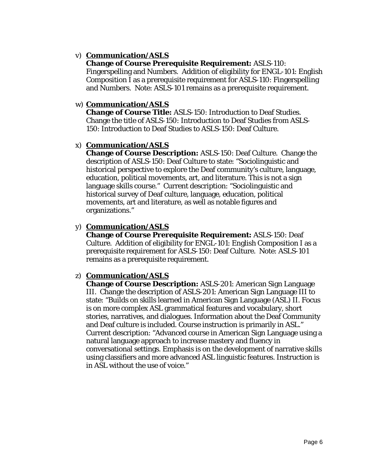## v) **Communication/ASLS**

# **Change of Course Prerequisite Requirement:** ASLS-110:

Fingerspelling and Numbers. Addition of eligibility for ENGL-101: English Composition I as a prerequisite requirement for ASLS-110: Fingerspelling and Numbers. Note: ASLS-101 remains as a prerequisite requirement.

## w) **Communication/ASLS**

**Change of Course Title:** ASLS-150: Introduction to Deaf Studies. Change the title of ASLS-150: Introduction to Deaf Studies *from* ASLS-150: Introduction to Deaf Studies *to* ASLS-150: Deaf Culture.

## x) **Communication/ASLS**

**Change of Course Description:** ASLS-150: Deaf Culture. Change the description of ASLS-150: Deaf Culture to state: "Sociolinguistic and historical perspective to explore the Deaf community's culture, language, education, political movements, art, and literature. This is not a sign language skills course." Current description: "Sociolinguistic and historical survey of Deaf culture, language, education, political movements, art and literature, as well as notable figures and organizations."

## y) **Communication/ASLS**

**Change of Course Prerequisite Requirement:** ASLS-150: Deaf Culture. Addition of eligibility for ENGL-101: English Composition I as a prerequisite requirement for ASLS-150: Deaf Culture. Note: ASLS-101 remains as a prerequisite requirement.

## z) **Communication/ASLS**

**Change of Course Description:** ASLS-201: American Sign Language III. Change the description of ASLS-201: American Sign Language III to state: "Builds on skills learned in American Sign Language (ASL) II. Focus is on more complex ASL grammatical features and vocabulary, short stories, narratives, and dialogues. Information about the Deaf Community and Deaf culture is included. Course instruction is primarily in ASL." Current description: "Advanced course in American Sign Language using a natural language approach to increase mastery and fluency in conversational settings. Emphasis is on the development of narrative skills using classifiers and more advanced ASL linguistic features. Instruction is in ASL without the use of voice."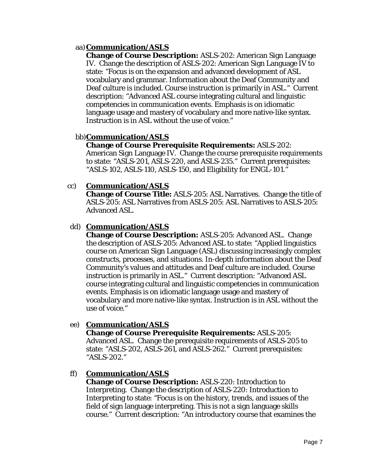## aa)**Communication/ASLS**

**Change of Course Description:** ASLS-202: American Sign Language IV. Change the description of ASLS-202: American Sign Language IV to state: "Focus is on the expansion and advanced development of ASL vocabulary and grammar. Information about the Deaf Community and Deaf culture is included. Course instruction is primarily in ASL." Current description: "Advanced ASL course integrating cultural and linguistic competencies in communication events. Emphasis is on idiomatic language usage and mastery of vocabulary and more native-like syntax. Instruction is in ASL without the use of voice."

#### bb)**Communication/ASLS**

**Change of Course Prerequisite Requirements:** ASLS-202: American Sign Language IV. Change the course prerequisite requirements to state: "ASLS-201, ASLS-220, and ASLS-235." Current prerequisites: "ASLS-102, ASLS-110, ASLS-150, and Eligibility for ENGL-101."

#### cc) **Communication/ASLS**

**Change of Course Title:** ASLS-205: ASL Narratives. Change the title of ASLS-205: ASL Narratives *from* ASLS-205: ASL Narratives *to* ASLS-205: Advanced ASL.

#### dd) **Communication/ASLS**

**Change of Course Description:** ASLS-205: Advanced ASL. Change the description of ASLS-205: Advanced ASL to state: "Applied linguistics course on American Sign Language (ASL) discussing increasingly complex constructs, processes, and situations. In-depth information about the Deaf Community's values and attitudes and Deaf culture are included. Course instruction is primarily in ASL." Current description: "Advanced ASL course integrating cultural and linguistic competencies in communication events. Emphasis is on idiomatic language usage and mastery of vocabulary and more native-like syntax. Instruction is in ASL without the use of voice."

#### ee) **Communication/ASLS**

**Change of Course Prerequisite Requirements:** ASLS-205: Advanced ASL. Change the prerequisite requirements of ASLS-205 to state: "ASLS-202, ASLS-261, and ASLS-262." Current prerequisites: "ASLS-202."

#### ff) **Communication/ASLS**

**Change of Course Description:** ASLS-220: Introduction to Interpreting. Change the description of ASLS-220: Introduction to Interpreting to state: "Focus is on the history, trends, and issues of the field of sign language interpreting. This is not a sign language skills course." Current description: "An introductory course that examines the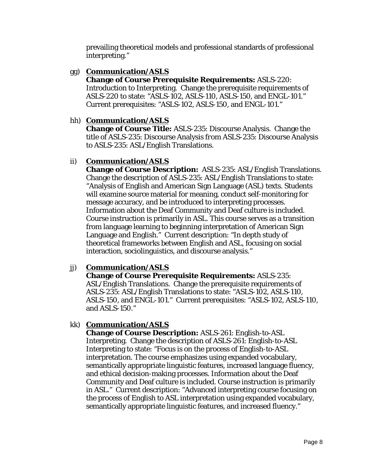prevailing theoretical models and professional standards of professional interpreting."

## gg) **Communication/ASLS**

**Change of Course Prerequisite Requirements:** ASLS-220: Introduction to Interpreting. Change the prerequisite requirements of ASLS-220 to state: "ASLS-102, ASLS-110, ASLS-150, and ENGL-101." Current prerequisites: "ASLS-102, ASLS-150, and ENGL-101."

## hh) **Communication/ASLS**

**Change of Course Title:** ASLS-235: Discourse Analysis. Change the title of ASLS-235: Discourse Analysis *from* ASLS-235: Discourse Analysis *to* ASLS-235: ASL/English Translations.

# ii) **Communication/ASLS**

**Change of Course Description:** ASLS-235: ASL/English Translations. Change the description of ASLS-235: ASL/English Translations to state: "Analysis of English and American Sign Language (ASL) texts. Students will examine source material for meaning, conduct self-monitoring for message accuracy, and be introduced to interpreting processes. Information about the Deaf Community and Deaf culture is included. Course instruction is primarily in ASL. This course serves as a transition from language learning to beginning interpretation of American Sign Language and English." Current description: "In depth study of theoretical frameworks between English and ASL, focusing on social interaction, sociolinguistics, and discourse analysis."

# jj) **Communication/ASLS**

**Change of Course Prerequisite Requirements:** ASLS-235: ASL/English Translations. Change the prerequisite requirements of ASLS-235: ASL/English Translations to state: "ASLS-102, ASLS-110, ASLS-150, and ENGL-101." Current prerequisites: "ASLS-102, ASLS-110, and ASLS-150."

# kk) **Communication/ASLS**

**Change of Course Description:** ASLS-261: English-to-ASL Interpreting. Change the description of ASLS-261: English-to-ASL Interpreting to state: "Focus is on the process of English-to-ASL interpretation. The course emphasizes using expanded vocabulary, semantically appropriate linguistic features, increased language fluency, and ethical decision-making processes. Information about the Deaf Community and Deaf culture is included. Course instruction is primarily in ASL." Current description: "Advanced interpreting course focusing on the process of English to ASL interpretation using expanded vocabulary, semantically appropriate linguistic features, and increased fluency."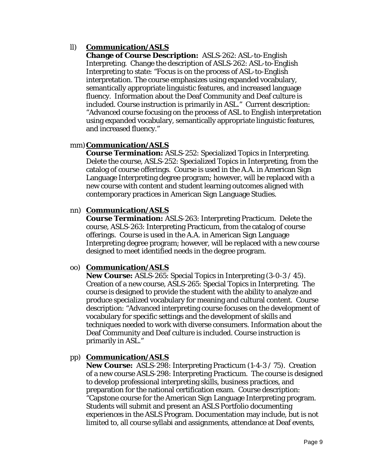## ll) **Communication/ASLS**

**Change of Course Description:** ASLS-262: ASL-to-English Interpreting. Change the description of ASLS-262: ASL-to-English Interpreting to state: "Focus is on the process of ASL-to-English interpretation. The course emphasizes using expanded vocabulary, semantically appropriate linguistic features, and increased language fluency. Information about the Deaf Community and Deaf culture is included. Course instruction is primarily in ASL." Current description: "Advanced course focusing on the process of ASL to English interpretation using expanded vocabulary, semantically appropriate linguistic features, and increased fluency."

## mm)**Communication/ASLS**

**Course Termination:** ASLS-252: Specialized Topics in Interpreting. Delete the course, ASLS-252: Specialized Topics in Interpreting, from the catalog of course offerings. Course is used in the A.A. in American Sign Language Interpreting degree program; however, will be replaced with a new course with content and student learning outcomes aligned with contemporary practices in American Sign Language Studies.

#### nn) **Communication/ASLS**

**Course Termination:** ASLS-263: Interpreting Practicum. Delete the course, ASLS-263: Interpreting Practicum, from the catalog of course offerings. Course is used in the A.A. in American Sign Language Interpreting degree program; however, will be replaced with a new course designed to meet identified needs in the degree program.

#### oo) **Communication/ASLS**

**New Course:** ASLS-265: Special Topics in Interpreting (3-0-3 / 45). Creation of a new course, ASLS-265: Special Topics in Interpreting. The course is designed to provide the student with the ability to analyze and produce specialized vocabulary for meaning and cultural content. Course description: "Advanced interpreting course focuses on the development of vocabulary for specific settings and the development of skills and techniques needed to work with diverse consumers. Information about the Deaf Community and Deaf culture is included. Course instruction is primarily in ASL."

#### pp) **Communication/ASLS**

**New Course:** ASLS-298: Interpreting Practicum (1-4-3 / 75). Creation of a new course ASLS-298: Interpreting Practicum. The course is designed to develop professional interpreting skills, business practices, and preparation for the national certification exam. Course description: "Capstone course for the American Sign Language Interpreting program. Students will submit and present an ASLS Portfolio documenting experiences in the ASLS Program. Documentation may include, but is not limited to, all course syllabi and assignments, attendance at Deaf events,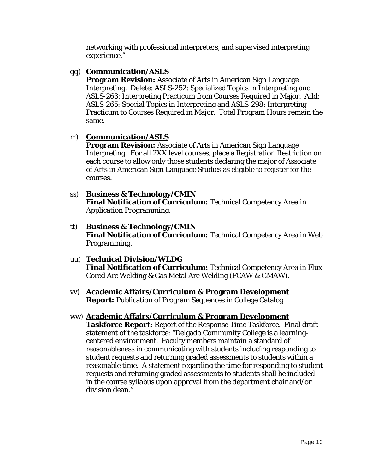networking with professional interpreters, and supervised interpreting experience."

## qq) **Communication/ASLS**

**Program Revision:** Associate of Arts in American Sign Language Interpreting. Delete: ASLS-252: Specialized Topics in Interpreting and ASLS-263: Interpreting Practicum from Courses Required in Major. Add: ASLS-265: Special Topics in Interpreting and ASLS-298: Interpreting Practicum to Courses Required in Major. Total Program Hours remain the same.

## rr) **Communication/ASLS**

**Program Revision:** Associate of Arts in American Sign Language Interpreting. For all 2XX level courses, place a Registration Restriction on each course to allow only those students declaring the major of Associate of Arts in American Sign Language Studies as eligible to register for the courses.

- ss) **Business & Technology/CMIN Final Notification of Curriculum:** Technical Competency Area in Application Programming.
- tt) **Business & Technology/CMIN Final Notification of Curriculum:** Technical Competency Area in Web Programming.
- uu) **Technical Division/WLDG Final Notification of Curriculum:** Technical Competency Area in Flux Cored Arc Welding & Gas Metal Arc Welding (FCAW & GMAW).
- vv) **Academic Affairs/Curriculum & Program Development Report:** Publication of Program Sequences in College Catalog
- ww) **Academic Affairs/Curriculum & Program Development Taskforce Report:** Report of the Response Time Taskforce. Final draft statement of the taskforce: "Delgado Community College is a learningcentered environment. Faculty members maintain a standard of reasonableness in communicating with students including responding to student requests and returning graded assessments to students within a reasonable time. A statement regarding the time for responding to student requests and returning graded assessments to students shall be included in the course syllabus upon approval from the department chair and/or division dean."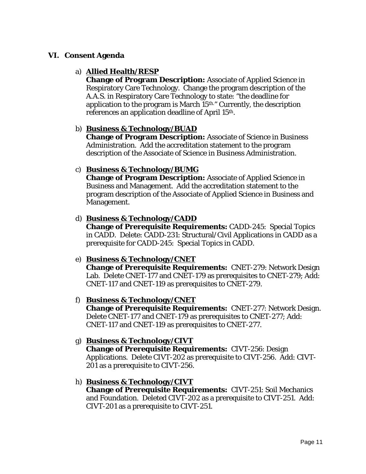## **VI. Consent Agenda**

## a) **Allied Health/RESP**

**Change of Program Description:** Associate of Applied Science in Respiratory Care Technology. Change the program description of the A.A.S. in Respiratory Care Technology to state: "the deadline for application to the program is March 15th." Currently, the description references an application deadline of April 15th.

## b) **Business & Technology/BUAD**

**Change of Program Description:** Associate of Science in Business Administration. Add the accreditation statement to the program description of the Associate of Science in Business Administration.

## c) **Business & Technology/BUMG**

**Change of Program Description:** Associate of Applied Science in Business and Management. Add the accreditation statement to the program description of the Associate of Applied Science in Business and Management.

#### d) **Business & Technology/CADD**

**Change of Prerequisite Requirements:** CADD-245: Special Topics in CADD. Delete: CADD-231: Structural/Civil Applications in CADD as a prerequisite for CADD-245: Special Topics in CADD.

## e) **Business & Technology/CNET**

**Change of Prerequisite Requirements:** CNET-279: Network Design Lab. Delete CNET-177 and CNET-179 as prerequisites to CNET-279; Add: CNET-117 and CNET-119 as prerequisites to CNET-279.

## f) **Business & Technology/CNET**

**Change of Prerequisite Requirements:** CNET-277: Network Design. Delete CNET-177 and CNET-179 as prerequisites to CNET-277; Add: CNET-117 and CNET-119 as prerequisites to CNET-277.

## g) **Business & Technology/CIVT**

**Change of Prerequisite Requirements:** CIVT-256: Design Applications. Delete CIVT-202 as prerequisite to CIVT-256. Add: CIVT-201 as a prerequisite to CIVT-256.

## h) **Business & Technology/CIVT**

**Change of Prerequisite Requirements:** CIVT-251: Soil Mechanics and Foundation. Deleted CIVT-202 as a prerequisite to CIVT-251. Add: CIVT-201 as a prerequisite to CIVT-251.